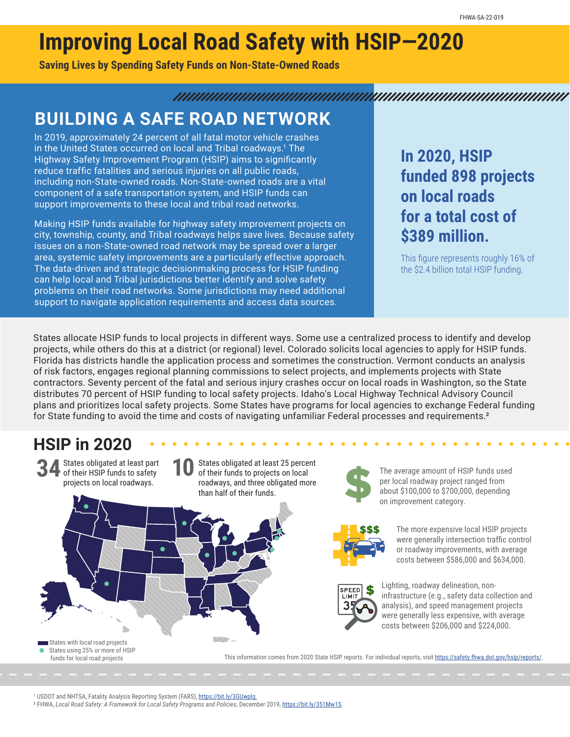# **Improving Local Road Safety with HSIP—2020**

**Saving Lives by Spending Safety Funds on Non-State-Owned Roads**

#### 

### **BUILDING A SAFE ROAD NETWORK**

In 2019, approximately 24 percent of all fatal motor vehicle crashes in the United States occurred on local and Tribal roadways.<sup>1</sup> The Highway Safety Improvement Program (HSIP) aims to significantly reduce traffic fatalities and serious injuries on all public roads, including non-State-owned roads. Non-State-owned roads are a vital component of a safe transportation system, and HSIP funds can support improvements to these local and tribal road networks.

Making HSIP funds available for highway safety improvement projects on city, township, county, and Tribal roadways helps save lives. Because safety issues on a non-State-owned road network may be spread over a larger area, systemic safety improvements are a particularly effective approach. The data-driven and strategic decisionmaking process for HSIP funding can help local and Tribal jurisdictions better identify and solve safety problems on their road networks. Some jurisdictions may need additional support to navigate application requirements and access data sources.

### **In 2020, HSIP funded 898 projects on local roads for a total cost of \$389 million.**

This figure represents roughly 16% of the \$2.4 billion total HSIP funding.

States allocate HSIP funds to local projects in different ways. Some use a centralized process to identify and develop projects, while others do this at a district (or regional) level. Colorado solicits local agencies to apply for HSIP funds. Florida has districts handle the application process and sometimes the construction. Vermont conducts an analysis of risk factors, engages regional planning commissions to select projects, and implements projects with State contractors. Seventy percent of the fatal and serious injury crashes occur on local roads in Washington, so the State distributes 70 percent of HSIP funding to local safety projects. Idaho's Local Highway Technical Advisory Council plans and prioritizes local safety projects. Some States have programs for local agencies to exchange Federal funding for State funding to avoid the time and costs of navigating unfamiliar Federal processes and requirements.2

#### **HSIP in 2020**



<sup>1</sup> USDOT and NHTSA, Fatality Analysis Reporting System (FARS), <https://bit.ly/3GUwplq>.

2 FHWA, *Local Road Safety: A Framework for Local Safety Programs and Policies*, December 2019[, https://bit.ly/351Mw1S.](https://bit.ly/351Mw1S)